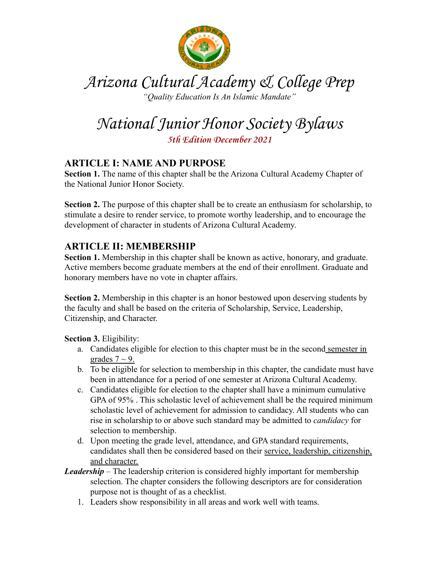

Arizona Cultural Academy & College Prep *"Quality Education Is An Islamic Mandate"*

National Junior Honor Society Bylaws

**5th Edition December 2021**

# **ARTICLE I: NAME AND PURPOSE**

**Section 1.** The name of this chapter shall be the Arizona Cultural Academy Chapter of the National Junior Honor Society.

**Section 2.** The purpose of this chapter shall be to create an enthusiasm for scholarship, to stimulate a desire to render service, to promote worthy leadership, and to encourage the development of character in students of Arizona Cultural Academy.

# **ARTICLE II: MEMBERSHIP**

**Section 1.** Membership in this chapter shall be known as active, honorary, and graduate. Active members become graduate members at the end of their enrollment. Graduate and honorary members have no vote in chapter affairs.

**Section 2.** Membership in this chapter is an honor bestowed upon deserving students by the faculty and shall be based on the criteria of Scholarship, Service, Leadership, Citizenship, and Character.

**Section 3.** Eligibility:

- a. Candidates eligible for election to this chapter must be in the second semester in grades  $7 \sim 9$ .
- b. To be eligible for selection to membership in this chapter, the candidate must have been in attendance for a period of one semester at Arizona Cultural Academy.
- c. Candidates eligible for election to the chapter shall have a minimum cumulative GPA of 95% . This scholastic level of achievement shall be the required minimum scholastic level of achievement for admission to candidacy. All students who can rise in scholarship to or above such standard may be admitted to *candidacy* for selection to membership.
- d. Upon meeting the grade level, attendance, and GPA standard requirements, candidates shall then be considered based on their service, leadership, citizenship, and character.
- *Leadership –* The leadership criterion is considered highly important for membership selection. The chapter considers the following descriptors are for consideration purpose not is thought of as a checklist.
	- 1. Leaders show responsibility in all areas and work well with teams.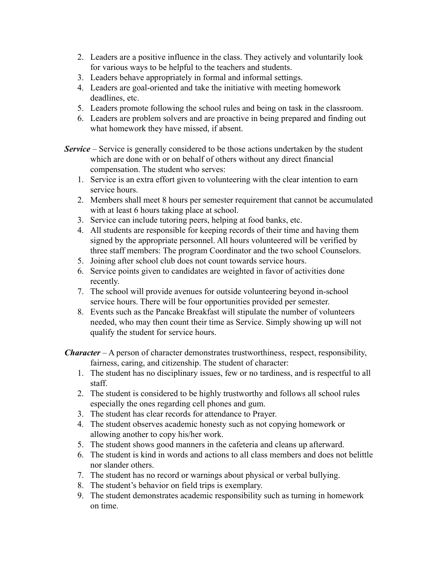- 2. Leaders are a positive influence in the class. They actively and voluntarily look for various ways to be helpful to the teachers and students.
- 3. Leaders behave appropriately in formal and informal settings.
- 4. Leaders are goal-oriented and take the initiative with meeting homework deadlines, etc.
- 5. Leaders promote following the school rules and being on task in the classroom.
- 6. Leaders are problem solvers and are proactive in being prepared and finding out what homework they have missed, if absent.
- *Service* Service is generally considered to be those actions undertaken by the student which are done with or on behalf of others without any direct financial compensation. The student who serves:
	- 1. Service is an extra effort given to volunteering with the clear intention to earn service hours.
	- 2. Members shall meet 8 hours per semester requirement that cannot be accumulated with at least 6 hours taking place at school.
	- 3. Service can include tutoring peers, helping at food banks, etc.
	- 4. All students are responsible for keeping records of their time and having them signed by the appropriate personnel. All hours volunteered will be verified by three staff members: The program Coordinator and the two school Counselors.
	- 5. Joining after school club does not count towards service hours.
	- 6. Service points given to candidates are weighted in favor of activities done recently.
	- 7. The school will provide avenues for outside volunteering beyond in-school service hours. There will be four opportunities provided per semester.
	- 8. Events such as the Pancake Breakfast will stipulate the number of volunteers needed, who may then count their time as Service. Simply showing up will not qualify the student for service hours.

*Character* – A person of character demonstrates trustworthiness, respect, responsibility, fairness, caring, and citizenship. The student of character:

- 1. The student has no disciplinary issues, few or no tardiness, and is respectful to all staff.
- 2. The student is considered to be highly trustworthy and follows all school rules especially the ones regarding cell phones and gum.
- 3. The student has clear records for attendance to Prayer.
- 4. The student observes academic honesty such as not copying homework or allowing another to copy his/her work.
- 5. The student shows good manners in the cafeteria and cleans up afterward.
- 6. The student is kind in words and actions to all class members and does not belittle nor slander others.
- 7. The student has no record or warnings about physical or verbal bullying.
- 8. The student's behavior on field trips is exemplary.
- 9. The student demonstrates academic responsibility such as turning in homework on time.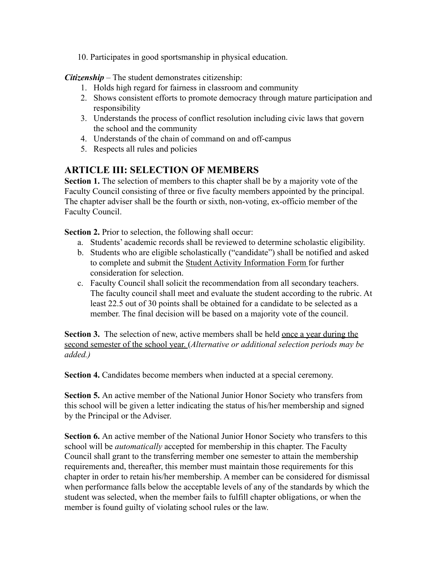10. Participates in good sportsmanship in physical education.

*Citizenship* – The student demonstrates citizenship:

- 1. Holds high regard for fairness in classroom and community
- 2. Shows consistent efforts to promote democracy through mature participation and responsibility
- 3. Understands the process of conflict resolution including civic laws that govern the school and the community
- 4. Understands of the chain of command on and off-campus
- 5. Respects all rules and policies

# **ARTICLE III: SELECTION OF MEMBERS**

**Section 1.** The selection of members to this chapter shall be by a majority vote of the Faculty Council consisting of three or five faculty members appointed by the principal. The chapter adviser shall be the fourth or sixth, non-voting, ex-officio member of the Faculty Council.

**Section 2.** Prior to selection, the following shall occur:

- a. Students' academic records shall be reviewed to determine scholastic eligibility.
- b. Students who are eligible scholastically ("candidate") shall be notified and asked to complete and submit the Student Activity Information Form for further consideration for selection.
- c. Faculty Council shall solicit the recommendation from all secondary teachers. The faculty council shall meet and evaluate the student according to the rubric. At least 22.5 out of 30 points shall be obtained for a candidate to be selected as a member. The final decision will be based on a majority vote of the council.

**Section 3.** The selection of new, active members shall be held once a year during the second semester of the school year. (*Alternative or additional selection periods may be added.)*

**Section 4.** Candidates become members when inducted at a special ceremony.

**Section 5.** An active member of the National Junior Honor Society who transfers from this school will be given a letter indicating the status of his/her membership and signed by the Principal or the Adviser.

**Section 6.** An active member of the National Junior Honor Society who transfers to this school will be *automatically* accepted for membership in this chapter. The Faculty Council shall grant to the transferring member one semester to attain the membership requirements and, thereafter, this member must maintain those requirements for this chapter in order to retain his/her membership. A member can be considered for dismissal when performance falls below the acceptable levels of any of the standards by which the student was selected, when the member fails to fulfill chapter obligations, or when the member is found guilty of violating school rules or the law.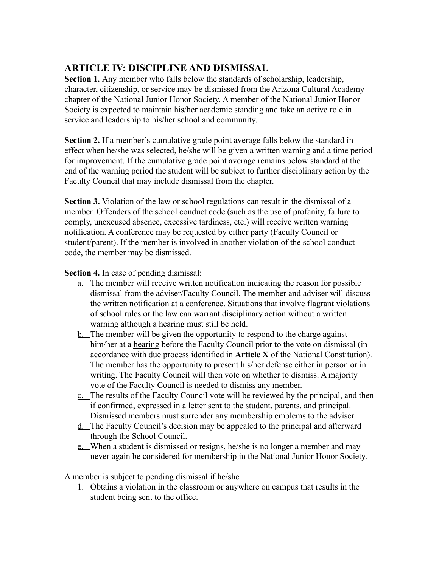# **ARTICLE IV: DISCIPLINE AND DISMISSAL**

**Section 1.** Any member who falls below the standards of scholarship, leadership, character, citizenship, or service may be dismissed from the Arizona Cultural Academy chapter of the National Junior Honor Society. A member of the National Junior Honor Society is expected to maintain his/her academic standing and take an active role in service and leadership to his/her school and community.

**Section 2.** If a member's cumulative grade point average falls below the standard in effect when he/she was selected, he/she will be given a written warning and a time period for improvement. If the cumulative grade point average remains below standard at the end of the warning period the student will be subject to further disciplinary action by the Faculty Council that may include dismissal from the chapter.

**Section 3.** Violation of the law or school regulations can result in the dismissal of a member. Offenders of the school conduct code (such as the use of profanity, failure to comply, unexcused absence, excessive tardiness, etc.) will receive written warning notification. A conference may be requested by either party (Faculty Council or student/parent). If the member is involved in another violation of the school conduct code, the member may be dismissed.

**Section 4.** In case of pending dismissal:

- a. The member will receive written notification indicating the reason for possible dismissal from the adviser/Faculty Council. The member and adviser will discuss the written notification at a conference. Situations that involve flagrant violations of school rules or the law can warrant disciplinary action without a written warning although a hearing must still be held.
- b. The member will be given the opportunity to respond to the charge against him/her at a hearing before the Faculty Council prior to the vote on dismissal (in accordance with due process identified in **Article X** of the National Constitution). The member has the opportunity to present his/her defense either in person or in writing. The Faculty Council will then vote on whether to dismiss. A majority vote of the Faculty Council is needed to dismiss any member.
- c. The results of the Faculty Council vote will be reviewed by the principal, and then if confirmed, expressed in a letter sent to the student, parents, and principal. Dismissed members must surrender any membership emblems to the adviser.
- d. The Faculty Council's decision may be appealed to the principal and afterward through the School Council.
- e. When a student is dismissed or resigns, he/she is no longer a member and may never again be considered for membership in the National Junior Honor Society.

A member is subject to pending dismissal if he/she

1. Obtains a violation in the classroom or anywhere on campus that results in the student being sent to the office.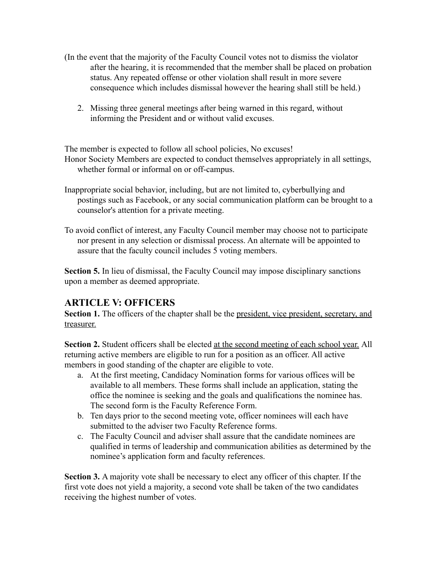- (In the event that the majority of the Faculty Council votes not to dismiss the violator after the hearing, it is recommended that the member shall be placed on probation status. Any repeated offense or other violation shall result in more severe consequence which includes dismissal however the hearing shall still be held.)
	- 2. Missing three general meetings after being warned in this regard, without informing the President and or without valid excuses.

The member is expected to follow all school policies, No excuses!

Honor Society Members are expected to conduct themselves appropriately in all settings, whether formal or informal on or off-campus.

- Inappropriate social behavior, including, but are not limited to, cyberbullying and postings such as Facebook, or any social communication platform can be brought to a counselor's attention for a private meeting.
- To avoid conflict of interest, any Faculty Council member may choose not to participate nor present in any selection or dismissal process. An alternate will be appointed to assure that the faculty council includes 5 voting members.

**Section 5.** In lieu of dismissal, the Faculty Council may impose disciplinary sanctions upon a member as deemed appropriate.

## **ARTICLE V: OFFICERS**

**Section 1.** The officers of the chapter shall be the president, vice president, secretary, and treasurer.

**Section 2.** Student officers shall be elected at the second meeting of each school year. All returning active members are eligible to run for a position as an officer. All active members in good standing of the chapter are eligible to vote.

- a. At the first meeting, Candidacy Nomination forms for various offices will be available to all members. These forms shall include an application, stating the office the nominee is seeking and the goals and qualifications the nominee has. The second form is the Faculty Reference Form.
- b. Ten days prior to the second meeting vote, officer nominees will each have submitted to the adviser two Faculty Reference forms.
- c. The Faculty Council and adviser shall assure that the candidate nominees are qualified in terms of leadership and communication abilities as determined by the nominee's application form and faculty references.

**Section 3.** A majority vote shall be necessary to elect any officer of this chapter. If the first vote does not yield a majority, a second vote shall be taken of the two candidates receiving the highest number of votes.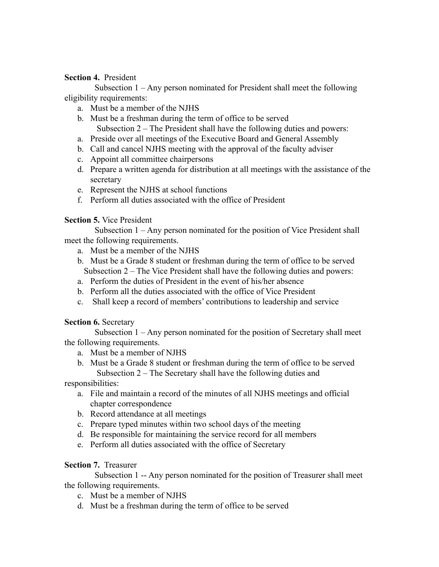#### **Section 4.** President

Subsection 1 – Any person nominated for President shall meet the following eligibility requirements:

- a. Must be a member of the NJHS
- b. Must be a freshman during the term of office to be served Subsection 2 – The President shall have the following duties and powers:
- a. Preside over all meetings of the Executive Board and General Assembly
- b. Call and cancel NJHS meeting with the approval of the faculty adviser
- c. Appoint all committee chairpersons
- d. Prepare a written agenda for distribution at all meetings with the assistance of the secretary
- e. Represent the NJHS at school functions
- f. Perform all duties associated with the office of President

#### **Section 5.** Vice President

Subsection 1 – Any person nominated for the position of Vice President shall meet the following requirements.

- a. Must be a member of the NJHS
- b. Must be a Grade 8 student or freshman during the term of office to be served Subsection 2 – The Vice President shall have the following duties and powers:
- a. Perform the duties of President in the event of his/her absence
- b. Perform all the duties associated with the office of Vice President
- c. Shall keep a record of members' contributions to leadership and service

#### **Section 6.** Secretary

Subsection 1 – Any person nominated for the position of Secretary shall meet the following requirements.

- a. Must be a member of NJHS
- b. Must be a Grade 8 student or freshman during the term of office to be served Subsection 2 – The Secretary shall have the following duties and

responsibilities:

- a. File and maintain a record of the minutes of all NJHS meetings and official chapter correspondence
- b. Record attendance at all meetings
- c. Prepare typed minutes within two school days of the meeting
- d. Be responsible for maintaining the service record for all members
- e. Perform all duties associated with the office of Secretary

#### **Section 7.** Treasurer

Subsection 1 -- Any person nominated for the position of Treasurer shall meet the following requirements.

- c. Must be a member of NJHS
- d. Must be a freshman during the term of office to be served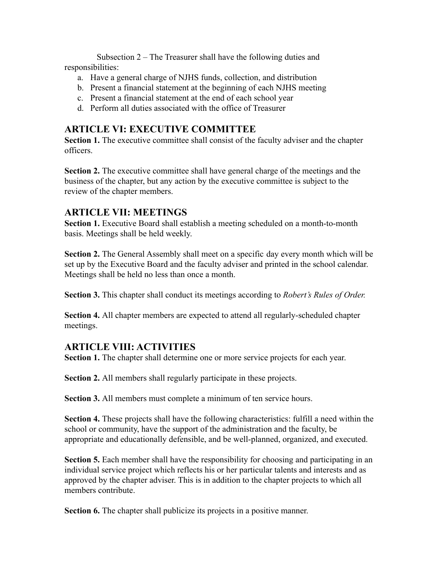Subsection 2 – The Treasurer shall have the following duties and responsibilities:

- a. Have a general charge of NJHS funds, collection, and distribution
- b. Present a financial statement at the beginning of each NJHS meeting
- c. Present a financial statement at the end of each school year
- d. Perform all duties associated with the office of Treasurer

## **ARTICLE VI: EXECUTIVE COMMITTEE**

**Section 1.** The executive committee shall consist of the faculty adviser and the chapter officers.

**Section 2.** The executive committee shall have general charge of the meetings and the business of the chapter, but any action by the executive committee is subject to the review of the chapter members.

## **ARTICLE VII: MEETINGS**

**Section 1.** Executive Board shall establish a meeting scheduled on a month-to-month basis. Meetings shall be held weekly.

**Section 2.** The General Assembly shall meet on a specific day every month which will be set up by the Executive Board and the faculty adviser and printed in the school calendar. Meetings shall be held no less than once a month.

**Section 3.** This chapter shall conduct its meetings according to *Robert's Rules of Order.*

**Section 4.** All chapter members are expected to attend all regularly-scheduled chapter meetings.

## **ARTICLE VIII: ACTIVITIES**

**Section 1.** The chapter shall determine one or more service projects for each year.

**Section 2.** All members shall regularly participate in these projects.

**Section 3.** All members must complete a minimum of ten service hours.

**Section 4.** These projects shall have the following characteristics: fulfill a need within the school or community, have the support of the administration and the faculty, be appropriate and educationally defensible, and be well-planned, organized, and executed.

**Section 5.** Each member shall have the responsibility for choosing and participating in an individual service project which reflects his or her particular talents and interests and as approved by the chapter adviser. This is in addition to the chapter projects to which all members contribute.

**Section 6.** The chapter shall publicize its projects in a positive manner.